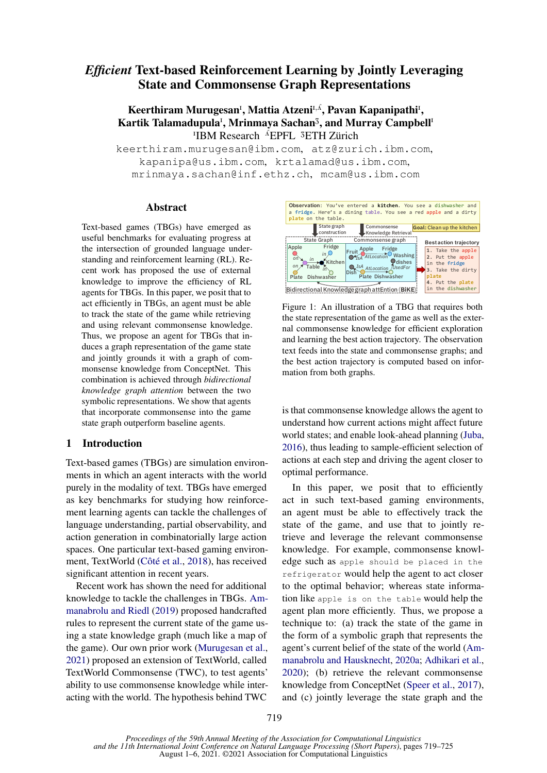# *Efficient* Text-based Reinforcement Learning by Jointly Leveraging State and Commonsense Graph Representations

# Keerthiram Murugesan<sup>i</sup>, Mattia Atzeni<sup>n, A</sup>, Pavan Kapanipathi<sup>i</sup>, Kartik Talamadupula<sup>1</sup>, Mrinmaya Sachan<sup>3</sup>, and Murray Campbell<sup>1</sup> <sup>I</sup>IBM Research <sup>A</sup>EPFL <sup>3</sup>ETH Zürich

keerthiram.murugesan@ibm.com, atz@zurich.ibm.com, kapanipa@us.ibm.com, krtalamad@us.ibm.com, mrinmaya.sachan@inf.ethz.ch, mcam@us.ibm.com

#### Abstract

Text-based games (TBGs) have emerged as useful benchmarks for evaluating progress at the intersection of grounded language understanding and reinforcement learning (RL). Recent work has proposed the use of external knowledge to improve the efficiency of RL agents for TBGs. In this paper, we posit that to act efficiently in TBGs, an agent must be able to track the state of the game while retrieving and using relevant commonsense knowledge. Thus, we propose an agent for TBGs that induces a graph representation of the game state and jointly grounds it with a graph of commonsense knowledge from ConceptNet. This combination is achieved through *bidirectional knowledge graph attention* between the two symbolic representations. We show that agents that incorporate commonsense into the game state graph outperform baseline agents.

## 1 Introduction

Text-based games (TBGs) are simulation environments in which an agent interacts with the world purely in the modality of text. TBGs have emerged as key benchmarks for studying how reinforcement learning agents can tackle the challenges of language understanding, partial observability, and action generation in combinatorially large action spaces. One particular text-based gaming environment, TextWorld [\(Côté et al.,](#page-5-0) [2018\)](#page-5-0), has received significant attention in recent years.

Recent work has shown the need for additional knowledge to tackle the challenges in TBGs. [Am](#page-5-1)[manabrolu and Riedl](#page-5-1) [\(2019\)](#page-5-1) proposed handcrafted rules to represent the current state of the game using a state knowledge graph (much like a map of the game). Our own prior work [\(Murugesan et al.,](#page-5-2) [2021\)](#page-5-2) proposed an extension of TextWorld, called TextWorld Commonsense (TWC), to test agents' ability to use commonsense knowledge while interacting with the world. The hypothesis behind TWC

<span id="page-0-0"></span>

Figure 1: An illustration of a TBG that requires both the state representation of the game as well as the external commonsense knowledge for efficient exploration and learning the best action trajectory. The observation text feeds into the state and commonsense graphs; and the best action trajectory is computed based on information from both graphs.

is that commonsense knowledge allows the agent to understand how current actions might affect future world states; and enable look-ahead planning [\(Juba,](#page-5-3) [2016\)](#page-5-3), thus leading to sample-efficient selection of actions at each step and driving the agent closer to optimal performance.

In this paper, we posit that to efficiently act in such text-based gaming environments, an agent must be able to effectively track the state of the game, and use that to jointly retrieve and leverage the relevant commonsense knowledge. For example, commonsense knowledge such as apple should be placed in the refrigerator would help the agent to act closer to the optimal behavior; whereas state information like apple is on the table would help the agent plan more efficiently. Thus, we propose a technique to: (a) track the state of the game in the form of a symbolic graph that represents the agent's current belief of the state of the world [\(Am](#page-5-4)[manabrolu and Hausknecht,](#page-5-4) [2020a;](#page-5-4) [Adhikari et al.,](#page-5-5) [2020\)](#page-5-5); (b) retrieve the relevant commonsense knowledge from ConceptNet [\(Speer et al.,](#page-6-0) [2017\)](#page-6-0), and (c) jointly leverage the state graph and the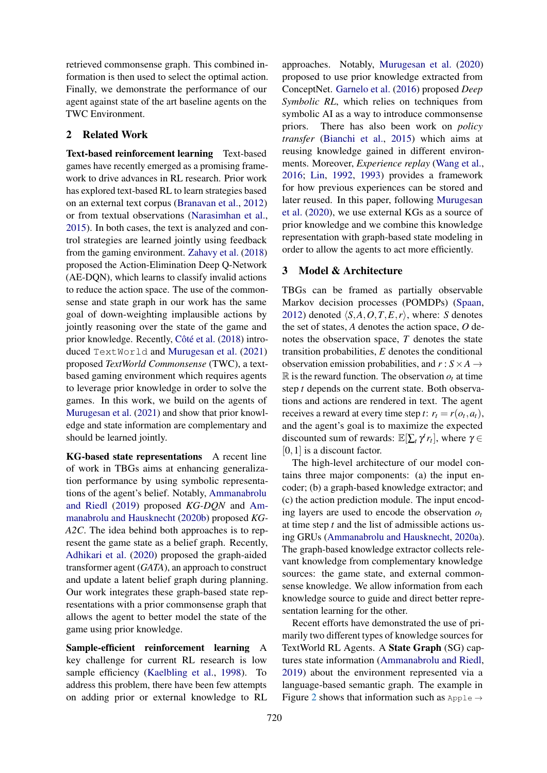retrieved commonsense graph. This combined information is then used to select the optimal action. Finally, we demonstrate the performance of our agent against state of the art baseline agents on the TWC Environment.

## 2 Related Work

Text-based reinforcement learning Text-based games have recently emerged as a promising framework to drive advances in RL research. Prior work has explored text-based RL to learn strategies based on an external text corpus [\(Branavan et al.,](#page-5-6) [2012\)](#page-5-6) or from textual observations [\(Narasimhan et al.,](#page-6-1) [2015\)](#page-6-1). In both cases, the text is analyzed and control strategies are learned jointly using feedback from the gaming environment. [Zahavy et al.](#page-6-2) [\(2018\)](#page-6-2) proposed the Action-Elimination Deep Q-Network (AE-DQN), which learns to classify invalid actions to reduce the action space. The use of the commonsense and state graph in our work has the same goal of down-weighting implausible actions by jointly reasoning over the state of the game and prior knowledge. Recently, [Côté et al.](#page-5-0) [\(2018\)](#page-5-0) introduced TextWorld and [Murugesan et al.](#page-5-2) [\(2021\)](#page-5-2) proposed *TextWorld Commonsense* (TWC), a textbased gaming environment which requires agents to leverage prior knowledge in order to solve the games. In this work, we build on the agents of [Murugesan et al.](#page-5-2) [\(2021\)](#page-5-2) and show that prior knowledge and state information are complementary and should be learned jointly.

KG-based state representations A recent line of work in TBGs aims at enhancing generalization performance by using symbolic representations of the agent's belief. Notably, [Ammanabrolu](#page-5-1) [and Riedl](#page-5-1) [\(2019\)](#page-5-1) proposed *KG-DQN* and [Am](#page-5-7)[manabrolu and Hausknecht](#page-5-7) [\(2020b\)](#page-5-7) proposed *KG-A2C*. The idea behind both approaches is to represent the game state as a belief graph. Recently, [Adhikari et al.](#page-5-5) [\(2020\)](#page-5-5) proposed the graph-aided transformer agent (*GATA*), an approach to construct and update a latent belief graph during planning. Our work integrates these graph-based state representations with a prior commonsense graph that allows the agent to better model the state of the game using prior knowledge.

Sample-efficient reinforcement learning A key challenge for current RL research is low sample efficiency [\(Kaelbling et al.,](#page-5-8) [1998\)](#page-5-8). To address this problem, there have been few attempts on adding prior or external knowledge to RL

approaches. Notably, [Murugesan et al.](#page-5-9) [\(2020\)](#page-5-9) proposed to use prior knowledge extracted from ConceptNet. [Garnelo et al.](#page-5-10) [\(2016\)](#page-5-10) proposed *Deep Symbolic RL*, which relies on techniques from symbolic AI as a way to introduce commonsense priors. There has also been work on *policy transfer* [\(Bianchi et al.,](#page-5-11) [2015\)](#page-5-11) which aims at reusing knowledge gained in different environments. Moreover, *Experience replay* [\(Wang et al.,](#page-6-3) [2016;](#page-6-3) [Lin,](#page-5-12) [1992,](#page-5-12) [1993\)](#page-5-13) provides a framework for how previous experiences can be stored and later reused. In this paper, following [Murugesan](#page-5-9) [et al.](#page-5-9) [\(2020\)](#page-5-9), we use external KGs as a source of prior knowledge and we combine this knowledge representation with graph-based state modeling in order to allow the agents to act more efficiently.

#### <span id="page-1-0"></span>3 Model & Architecture

TBGs can be framed as partially observable Markov decision processes (POMDPs) [\(Spaan,](#page-6-4) [2012\)](#page-6-4) denoted  $\langle S, A, O, T, E, r \rangle$ , where: *S* denotes the set of states, *A* denotes the action space, *O* denotes the observation space, *T* denotes the state transition probabilities, *E* denotes the conditional observation emission probabilities, and  $r : S \times A \rightarrow$  $\mathbb R$  is the reward function. The observation  $o_t$  at time step *t* depends on the current state. Both observations and actions are rendered in text. The agent receives a reward at every time step *t*:  $r_t = r(o_t, a_t)$ , and the agent's goal is to maximize the expected discounted sum of rewards:  $\mathbb{E}[\sum_t \gamma^t r_t]$ , where  $\gamma \in$ [0, 1] is a discount factor.

The high-level architecture of our model contains three major components: (a) the input encoder; (b) a graph-based knowledge extractor; and (c) the action prediction module. The input encoding layers are used to encode the observation  $o_t$ at time step *t* and the list of admissible actions using GRUs [\(Ammanabrolu and Hausknecht,](#page-5-4) [2020a\)](#page-5-4). The graph-based knowledge extractor collects relevant knowledge from complementary knowledge sources: the game state, and external commonsense knowledge. We allow information from each knowledge source to guide and direct better representation learning for the other.

Recent efforts have demonstrated the use of primarily two different types of knowledge sources for TextWorld RL Agents. A State Graph (SG) captures state information [\(Ammanabrolu and Riedl,](#page-5-1) [2019\)](#page-5-1) about the environment represented via a language-based semantic graph. The example in Figure [2](#page-2-0) shows that information such as  $Apple \rightarrow$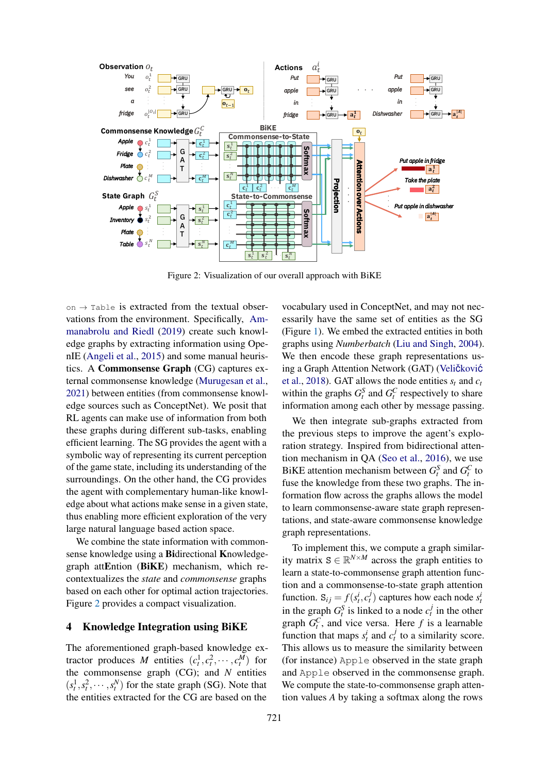<span id="page-2-0"></span>

Figure 2: Visualization of our overall approach with BiKE

on  $\rightarrow$  Table is extracted from the textual observations from the environment. Specifically, [Am](#page-5-1)[manabrolu and Riedl](#page-5-1) [\(2019\)](#page-5-1) create such knowledge graphs by extracting information using OpenIE [\(Angeli et al.,](#page-5-14) [2015\)](#page-5-14) and some manual heuristics. A Commonsense Graph (CG) captures external commonsense knowledge [\(Murugesan et al.,](#page-5-2) [2021\)](#page-5-2) between entities (from commonsense knowledge sources such as ConceptNet). We posit that RL agents can make use of information from both these graphs during different sub-tasks, enabling efficient learning. The SG provides the agent with a symbolic way of representing its current perception of the game state, including its understanding of the surroundings. On the other hand, the CG provides the agent with complementary human-like knowledge about what actions make sense in a given state, thus enabling more efficient exploration of the very large natural language based action space.

We combine the state information with commonsense knowledge using a Bidirectional Knowledgegraph attEntion (BiKE) mechanism, which recontextualizes the *state* and *commonsense* graphs based on each other for optimal action trajectories. Figure [2](#page-2-0) provides a compact visualization.

## 4 Knowledge Integration using BiKE

The aforementioned graph-based knowledge extractor produces *M* entities  $(c_t^1, c_t^2, \dots, c_t^M)$  for the commonsense graph (CG); and *N* entities  $(s_t^1, s_t^2, \dots, s_t^N)$  for the state graph (SG). Note that the entities extracted for the CG are based on the

vocabulary used in ConceptNet, and may not necessarily have the same set of entities as the SG (Figure [1\)](#page-0-0). We embed the extracted entities in both graphs using *Numberbatch* [\(Liu and Singh,](#page-5-15) [2004\)](#page-5-15). We then encode these graph representations using a Graph Attention Network (GAT) (Velič[kovi](#page-6-5)ć [et al.,](#page-6-5) [2018\)](#page-6-5). GAT allows the node entities  $s_t$  and  $c_t$ within the graphs  $G_t^S$  and  $G_t^C$  respectively to share information among each other by message passing.

We then integrate sub-graphs extracted from the previous steps to improve the agent's exploration strategy. Inspired from bidirectional attention mechanism in QA [\(Seo et al.,](#page-6-6) [2016\)](#page-6-6), we use BiKE attention mechanism between  $G_t^S$  and  $G_t^C$  to fuse the knowledge from these two graphs. The information flow across the graphs allows the model to learn commonsense-aware state graph representations, and state-aware commonsense knowledge graph representations.

To implement this, we compute a graph similarity matrix  $S \in \mathbb{R}^{N \times M}$  across the graph entities to learn a state-to-commonsense graph attention function and a commonsense-to-state graph attention function.  $S_{ij} = f(s_i^i, c_i^j)$  captures how each node  $s_i^j$ in the graph  $G_t^S$  is linked to a node  $c_t^j$  in the other graph  $G_t^C$ , and vice versa. Here *f* is a learnable function that maps  $s_t^i$  and  $c_t^j$  to a similarity score. This allows us to measure the similarity between (for instance) Apple observed in the state graph and Apple observed in the commonsense graph. We compute the state-to-commonsense graph attention values *A* by taking a softmax along the rows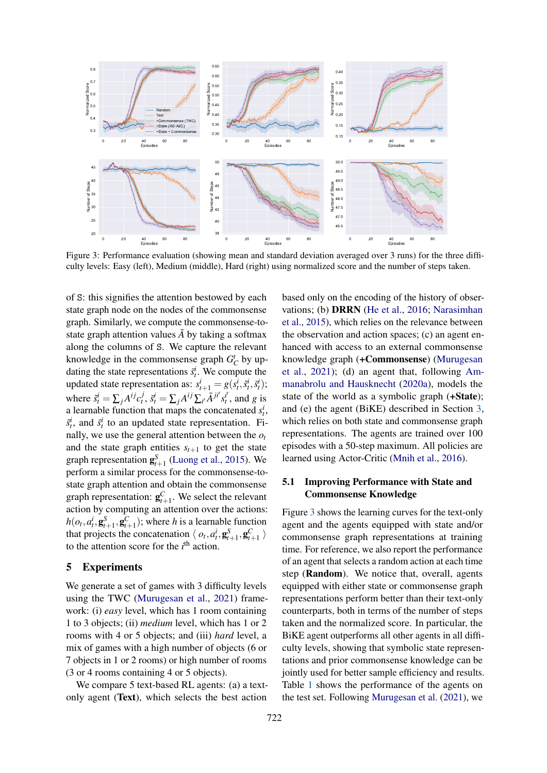<span id="page-3-0"></span>

Figure 3: Performance evaluation (showing mean and standard deviation averaged over 3 runs) for the three difficulty levels: Easy (left), Medium (middle), Hard (right) using normalized score and the number of steps taken.

of S: this signifies the attention bestowed by each state graph node on the nodes of the commonsense graph. Similarly, we compute the commonsense-tostate graph attention values  $\overline{A}$  by taking a softmax along the columns of S. We capture the relevant knowledge in the commonsense graph  $G_C^t$  by updating the state representations  $\bar{s}_t^i$ . We compute the updated state representation as:  $s_{t+1}^i = g(s_t^i, \tilde{s}_t^i, \bar{s}_t^i)$ ; where  $\tilde{s}_t^i = \sum_j A^{ij} c_t^j$ ,  $\bar{s}_t^i = \sum_j A^{ij} \sum_{i'} \bar{A}^{ji'} s_t^{i'}$  $t<sub>t</sub><sup>t'</sup>$ , and *g* is a learnable function that maps the concatenated  $s_t^i$ ,  $\tilde{s}^i_t$ , and  $\tilde{s}^i_t$  to an updated state representation. Finally, we use the general attention between the *o<sup>t</sup>* and the state graph entities  $s_{t+1}$  to get the state graph representation  $\mathbf{g}_{t+1}^S$  [\(Luong et al.,](#page-5-16) [2015\)](#page-5-16). We perform a similar process for the commonsense-tostate graph attention and obtain the commonsense graph representation:  $\mathbf{g}^C_{t+1}$ . We select the relevant action by computing an attention over the actions:  $h(o_t, a_t^i, \mathbf{g}_{t+1}^S, \mathbf{g}_{t+1}^C)$ ; where *h* is a learnable function that projects the concatenation  $\langle o_t, a_t^i, \mathbf{g}_{t+1}^S, \mathbf{g}_{t+1}^C \rangle$ to the attention score for the  $i<sup>th</sup>$  action.

## 5 Experiments

We generate a set of games with 3 difficulty levels using the TWC [\(Murugesan et al.,](#page-5-2) [2021\)](#page-5-2) framework: (i) *easy* level, which has 1 room containing 1 to 3 objects; (ii) *medium* level, which has 1 or 2 rooms with 4 or 5 objects; and (iii) *hard* level, a mix of games with a high number of objects (6 or 7 objects in 1 or 2 rooms) or high number of rooms (3 or 4 rooms containing 4 or 5 objects).

We compare 5 text-based RL agents: (a) a textonly agent (Text), which selects the best action

based only on the encoding of the history of observations; (b) DRRN [\(He et al.,](#page-5-17) [2016;](#page-5-17) [Narasimhan](#page-6-1) [et al.,](#page-6-1) [2015\)](#page-6-1), which relies on the relevance between the observation and action spaces; (c) an agent enhanced with access to an external commonsense knowledge graph (+Commonsense) [\(Murugesan](#page-5-2) [et al.,](#page-5-2) [2021\)](#page-5-2); (d) an agent that, following [Am](#page-5-4)[manabrolu and Hausknecht](#page-5-4) [\(2020a\)](#page-5-4), models the state of the world as a symbolic graph (+State); and (e) the agent (BiKE) described in Section [3,](#page-1-0) which relies on both state and commonsense graph representations. The agents are trained over 100 episodes with a 50-step maximum. All policies are learned using Actor-Critic [\(Mnih et al.,](#page-5-18) [2016\)](#page-5-18).

### 5.1 Improving Performance with State and Commonsense Knowledge

Figure [3](#page-3-0) shows the learning curves for the text-only agent and the agents equipped with state and/or commonsense graph representations at training time. For reference, we also report the performance of an agent that selects a random action at each time step (Random). We notice that, overall, agents equipped with either state or commonsense graph representations perform better than their text-only counterparts, both in terms of the number of steps taken and the normalized score. In particular, the BiKE agent outperforms all other agents in all difficulty levels, showing that symbolic state representations and prior commonsense knowledge can be jointly used for better sample efficiency and results. Table [1](#page-4-0) shows the performance of the agents on the test set. Following [Murugesan et al.](#page-5-2) [\(2021\)](#page-5-2), we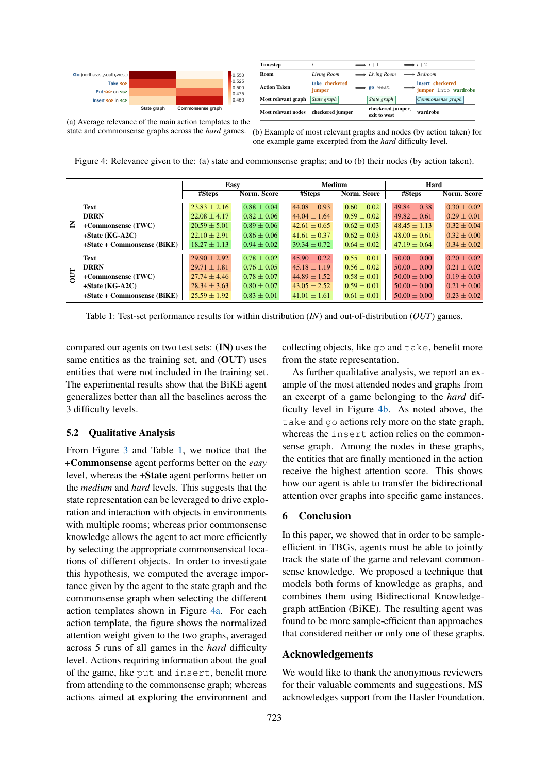<span id="page-4-1"></span>

| Timestep            |                          | $\longrightarrow$ t+1             | $\longrightarrow$ t+2                    |
|---------------------|--------------------------|-----------------------------------|------------------------------------------|
| Room                | Living Room              | $\longrightarrow$ Living Room     | $\longrightarrow$ Bedroom                |
| <b>Action Taken</b> | take checkered<br>jumper | go west                           | insert checkered<br>jumper into wardrobe |
| Most relevant graph | State graph              | State graph                       | Commonsense graph                        |
| Most relevant nodes | checkered jumper         | checkered jumper.<br>exit to west | wardrobe                                 |

(a) Average relevance of the main action templates to the (a) Average relevance of the main action templates to the state and commonsense graphs across the *hard* games. state and commonsense graphs across the *hard* games

(b) Example of most relevant graphs and nodes (by action taken) for one example game excerpted from the *hard* difficulty level.

 $4.1$  Improving RL Performance with State with State  $\sim$ erage importance given by the agent to the state Figure 4: Relevance given to the: (a) state and commonsense graphs; and to (b) their nodes (by action taken).

<span id="page-4-0"></span>

|    |                             | Easy             |                 | Medium           |                 | Hard             |                    |
|----|-----------------------------|------------------|-----------------|------------------|-----------------|------------------|--------------------|
|    |                             | #Steps           | Norm. Score     | #Steps           | Norm. Score     | #Steps           | <b>Norm.</b> Score |
| Ξ  | Text                        | $23.83 \pm 2.16$ | $0.88 \pm 0.04$ | $44.08 \pm 0.93$ | $0.60 \pm 0.02$ | $49.84 \pm 0.38$ | $0.30 \pm 0.02$    |
|    | <b>DRRN</b>                 | $22.08 + 4.17$   | $0.82 + 0.06$   | $44.04 + 1.64$   | $0.59 + 0.02$   | $49.82 \pm 0.61$ | $0.29 + 0.01$      |
|    | +Commonsense (TWC)          | $20.59 \pm 5.01$ | $0.89 + 0.06$   | $42.61 \pm 0.65$ | $0.62 + 0.03$   | $48.45 \pm 1.13$ | $0.32 + 0.04$      |
|    | $+State(KG-A2C)$            | $22.10 \pm 2.91$ | $0.86 \pm 0.06$ | $41.61 \pm 0.37$ | $0.62 \pm 0.03$ | $48.00 \pm 0.61$ | $0.32 \pm 0.00$    |
|    | +State + Commonsense (BiKE) | $18.27 \pm 1.13$ | $0.94 \pm 0.02$ | $39.34 \pm 0.72$ | $0.64 \pm 0.02$ | $47.19 \pm 0.64$ | $0.34 + 0.02$      |
| 50 | Text                        | $29.90 \pm 2.92$ | $0.78 + 0.02$   | $45.90 \pm 0.22$ | $0.55 \pm 0.01$ | $50.00 \pm 0.00$ | $0.20 \pm 0.02$    |
|    | <b>DRRN</b>                 | $29.71 \pm 1.81$ | $0.76 + 0.05$   | $45.18 + 1.19$   | $0.56 + 0.02$   | $50.00 + 0.00$   | $0.21 + 0.02$      |
|    | +Commonsense (TWC)          | $27.74 + 4.46$   | $0.78 + 0.07$   | $44.89 \pm 1.52$ | $0.58 + 0.01$   | $50.00 + 0.00$   | $0.19 + 0.03$      |
|    | $+State(KG-A2C)$            | $28.34 \pm 3.63$ | $0.80 \pm 0.07$ | $43.05 \pm 2.52$ | $0.59 \pm 0.01$ | $50.00 \pm 0.00$ | $0.21 \pm 0.00$    |
|    | +State + Commonsense (BiKE) | $25.59 \pm 1.92$ | $0.83 \pm 0.01$ | $41.01 \pm 1.61$ | $0.61 \pm 0.01$ | $50.00 \pm 0.00$ | $0.23 \pm 0.02$    |
|    |                             |                  |                 |                  |                 |                  |                    |

taken and the normalized score. In particular, the Table 1: Test-set performance results for within distribution (*IN*) and out-of-distribution (*OUT*) games.

compared our agents on two test sets: (IN) uses the same entities as the training set, and (OUT) uses entities that were not included in the training set. The experimental results show that the BiKE agent generalizes better than all the baselines across the agents of the baselines across the the test set. Following Murder set. For all  $\alpha$ . 3 difficulty levels.

## 5.2 Qualitative Analysis  $\epsilon$  same entity  $\epsilon$  the training set

From Figure 3 and Table 1, we notice [tha](#page-3-0)t the +Commonsense agent performs better on the *easy* level, whereas the +State agent performs better on the *medium* and *hard* levels. This suggests that the state representation can be leveraged to drive exploration and interaction with objects in environments with multiple rooms; whereas prior commonsense knowledge allows the agent to act more efficiently by selecting the appropriate commonsensical locations of different objects. In order to investigate this hypothesis, we computed the average importance given by the agent to the state graph and the commonsense graph when selecting the different action templates shown in Figure [4a.](#page-4-1) For each action template, the figure shows the normalized attention weight given to the two graphs, averaged across 5 runs of all games in the *hard* difficulty level. Actions requiring information about the goal of the game, like put and insert, benefit more from attending to the commonsense graph; whereas actions aimed at exploring the environment and

collecting objects, like go and take, benefit more from the state representation.

As further qualitative analysis, we report an example of the most attended nodes and graphs from an excerpt of a game belonging to the *hard* dif-ficulty level in Figure [4b.](#page-4-1) As noted above, the take and go actions rely more on the state graph, whereas the insert action relies on the commonthe entities that are finally mentioned in the action how our agent is able to transfer the bidirectional attention over graphs into specific game instances. sense graph. Among the nodes in these graphs, receive the highest attention score. This shows

#### $\epsilon$  the state of the state of the state of the relaevant commonstructure. We propose the proposed and the proposed and the proposed and  $\mathcal{E}$ 6 Conclusion

In this paper, we showed that in order to be sampleefficient in TBGs, agents must be able to jointly track the state of the game and relevant commonsense knowledge. We proposed a technique that models both forms of knowledge as graphs, and combines them using Bidirectional Knowledgegraph attEntion (BiKE). The resulting agent was found to be more sample-efficient than approaches that considered neither or only one of these graphs.

#### Acknowledgements

We would like to thank the anonymous reviewers for their valuable comments and suggestions. MS acknowledges support from the Hasler Foundation.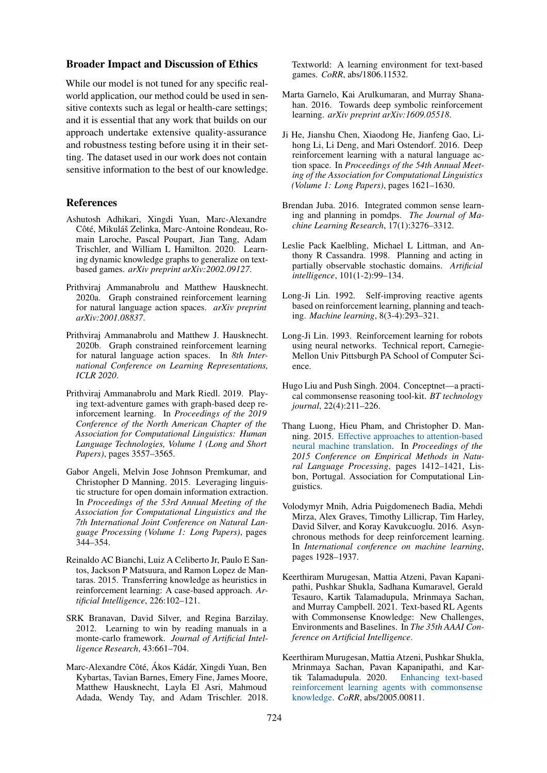#### Broader Impact and Discussion of Ethics

While our model is not tuned for any specific realworld application, our method could be used in sensitive contexts such as legal or health-care settings; and it is essential that any work that builds on our approach undertake extensive quality-assurance and robustness testing before using it in their setting. The dataset used in our work does not contain sensitive information to the best of our knowledge.

#### References

- <span id="page-5-5"></span>Ashutosh Adhikari, Xingdi Yuan, Marc-Alexandre Côté, Mikuláš Zelinka, Marc-Antoine Rondeau, Romain Laroche, Pascal Poupart, Jian Tang, Adam Trischler, and William L Hamilton. 2020. Learning dynamic knowledge graphs to generalize on textbased games. *arXiv preprint arXiv:2002.09127*.
- <span id="page-5-4"></span>Prithviraj Ammanabrolu and Matthew Hausknecht. 2020a. Graph constrained reinforcement learning for natural language action spaces. *arXiv preprint arXiv:2001.08837*.
- <span id="page-5-7"></span>Prithviraj Ammanabrolu and Matthew J. Hausknecht. 2020b. Graph constrained reinforcement learning for natural language action spaces. In *8th International Conference on Learning Representations, ICLR 2020*.
- <span id="page-5-1"></span>Prithviraj Ammanabrolu and Mark Riedl. 2019. Playing text-adventure games with graph-based deep reinforcement learning. In *Proceedings of the 2019 Conference of the North American Chapter of the Association for Computational Linguistics: Human Language Technologies, Volume 1 (Long and Short Papers)*, pages 3557–3565.
- <span id="page-5-14"></span>Gabor Angeli, Melvin Jose Johnson Premkumar, and Christopher D Manning. 2015. Leveraging linguistic structure for open domain information extraction. In *Proceedings of the 53rd Annual Meeting of the Association for Computational Linguistics and the 7th International Joint Conference on Natural Language Processing (Volume 1: Long Papers)*, pages 344–354.
- <span id="page-5-11"></span>Reinaldo AC Bianchi, Luiz A Celiberto Jr, Paulo E Santos, Jackson P Matsuura, and Ramon Lopez de Mantaras. 2015. Transferring knowledge as heuristics in reinforcement learning: A case-based approach. *Artificial Intelligence*, 226:102–121.
- <span id="page-5-6"></span>SRK Branavan, David Silver, and Regina Barzilay. 2012. Learning to win by reading manuals in a monte-carlo framework. *Journal of Artificial Intelligence Research*, 43:661–704.
- <span id="page-5-0"></span>Marc-Alexandre Côté, Ákos Kádár, Xingdi Yuan, Ben Kybartas, Tavian Barnes, Emery Fine, James Moore, Matthew Hausknecht, Layla El Asri, Mahmoud Adada, Wendy Tay, and Adam Trischler. 2018.

Textworld: A learning environment for text-based games. *CoRR*, abs/1806.11532.

- <span id="page-5-10"></span>Marta Garnelo, Kai Arulkumaran, and Murray Shanahan. 2016. Towards deep symbolic reinforcement learning. *arXiv preprint arXiv:1609.05518*.
- <span id="page-5-17"></span>Ji He, Jianshu Chen, Xiaodong He, Jianfeng Gao, Lihong Li, Li Deng, and Mari Ostendorf. 2016. Deep reinforcement learning with a natural language action space. In *Proceedings of the 54th Annual Meeting of the Association for Computational Linguistics (Volume 1: Long Papers)*, pages 1621–1630.
- <span id="page-5-3"></span>Brendan Juba. 2016. Integrated common sense learning and planning in pomdps. *The Journal of Machine Learning Research*, 17(1):3276–3312.
- <span id="page-5-8"></span>Leslie Pack Kaelbling, Michael L Littman, and Anthony R Cassandra. 1998. Planning and acting in partially observable stochastic domains. *Artificial intelligence*, 101(1-2):99–134.
- <span id="page-5-12"></span>Long-Ji Lin. 1992. Self-improving reactive agents based on reinforcement learning, planning and teaching. *Machine learning*, 8(3-4):293–321.
- <span id="page-5-13"></span>Long-Ji Lin. 1993. Reinforcement learning for robots using neural networks. Technical report, Carnegie-Mellon Univ Pittsburgh PA School of Computer Science.
- <span id="page-5-15"></span>Hugo Liu and Push Singh. 2004. Conceptnet—a practical commonsense reasoning tool-kit. *BT technology journal*, 22(4):211–226.
- <span id="page-5-16"></span>Thang Luong, Hieu Pham, and Christopher D. Manning. 2015. [Effective approaches to attention-based](https://doi.org/10.18653/v1/D15-1166) [neural machine translation.](https://doi.org/10.18653/v1/D15-1166) In *Proceedings of the 2015 Conference on Empirical Methods in Natural Language Processing*, pages 1412–1421, Lisbon, Portugal. Association for Computational Linguistics.
- <span id="page-5-18"></span>Volodymyr Mnih, Adria Puigdomenech Badia, Mehdi Mirza, Alex Graves, Timothy Lillicrap, Tim Harley, David Silver, and Koray Kavukcuoglu. 2016. Asynchronous methods for deep reinforcement learning. In *International conference on machine learning*, pages 1928–1937.
- <span id="page-5-2"></span>Keerthiram Murugesan, Mattia Atzeni, Pavan Kapanipathi, Pushkar Shukla, Sadhana Kumaravel, Gerald Tesauro, Kartik Talamadupula, Mrinmaya Sachan, and Murray Campbell. 2021. Text-based RL Agents with Commonsense Knowledge: New Challenges, Environments and Baselines. In *The 35th AAAI Conference on Artificial Intelligence*.
- <span id="page-5-9"></span>Keerthiram Murugesan, Mattia Atzeni, Pushkar Shukla, Mrinmaya Sachan, Pavan Kapanipathi, and Kartik Talamadupula. 2020. [Enhancing text-based](http://arxiv.org/abs/2005.00811) [reinforcement learning agents with commonsense](http://arxiv.org/abs/2005.00811) [knowledge.](http://arxiv.org/abs/2005.00811) *CoRR*, abs/2005.00811.